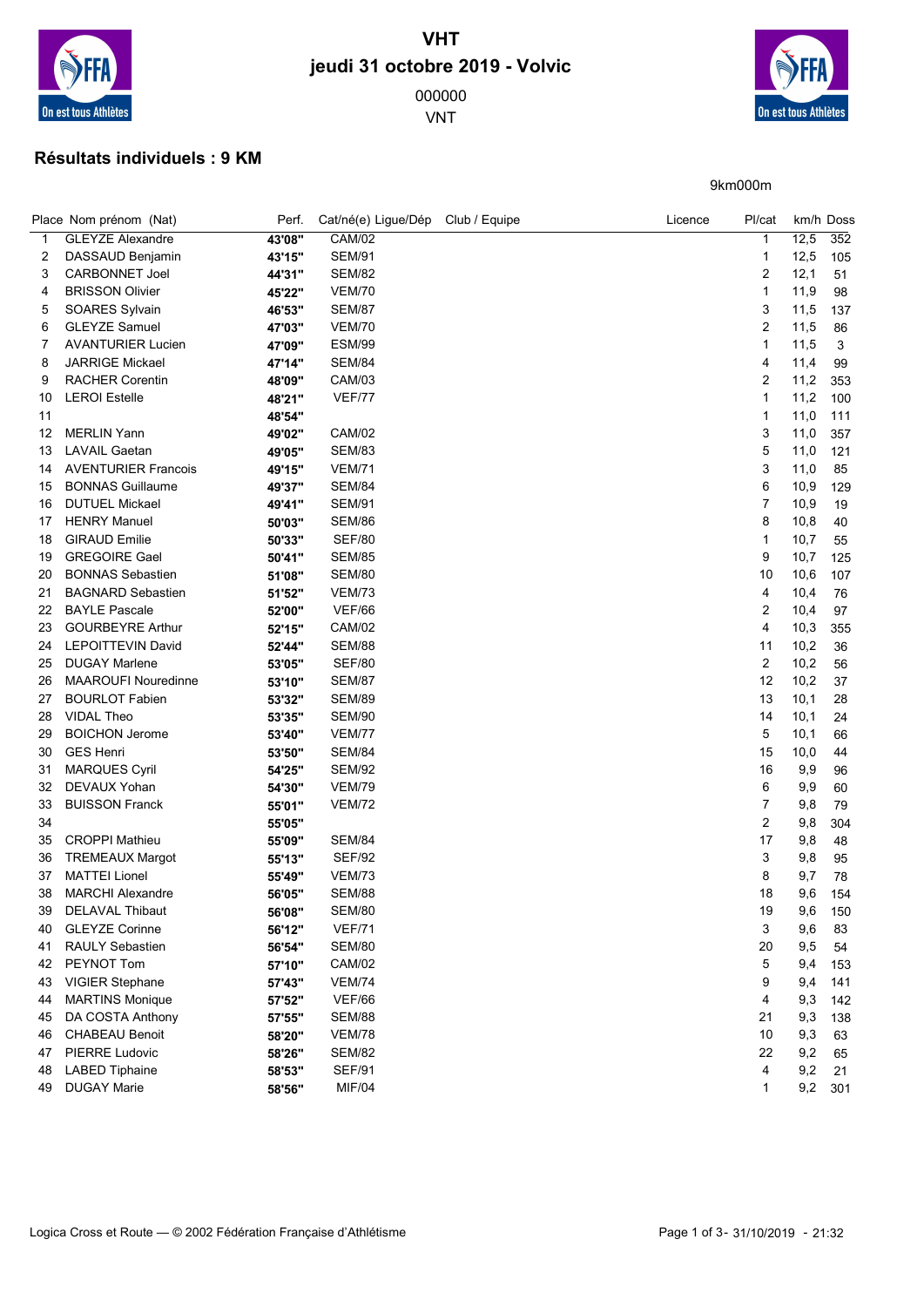

## VHT jeudi 31 octobre 2019 - Volvic

VNT

On est tous Athlètes

9km000m

## Résultats individuels : 9 KM

|    | Place Nom prénom (Nat)     | Perf.  | Cat/né(e) Ligue/Dép Club / Equipe | Licence | Pl/cat         |      | km/h Doss |
|----|----------------------------|--------|-----------------------------------|---------|----------------|------|-----------|
| 1  | <b>GLEYZE Alexandre</b>    | 43'08" | <b>CAM/02</b>                     |         | 1              | 12,5 | 352       |
| 2  | DASSAUD Benjamin           | 43'15" | <b>SEM/91</b>                     |         | 1              | 12,5 | 105       |
| 3  | <b>CARBONNET Joel</b>      | 44'31" | <b>SEM/82</b>                     |         | 2              | 12,1 | 51        |
| 4  | <b>BRISSON Olivier</b>     | 45'22" | <b>VEM/70</b>                     |         | 1              | 11,9 | 98        |
| 5  | SOARES Sylvain             | 46'53" | <b>SEM/87</b>                     |         | 3              | 11,5 | 137       |
| 6  | <b>GLEYZE Samuel</b>       | 47'03" | <b>VEM/70</b>                     |         | 2              | 11,5 | 86        |
| 7  | <b>AVANTURIER Lucien</b>   | 47'09" | <b>ESM/99</b>                     |         | 1              | 11,5 | 3         |
| 8  | <b>JARRIGE Mickael</b>     | 47'14" | <b>SEM/84</b>                     |         | 4              | 11,4 | 99        |
| 9  | <b>RACHER Corentin</b>     | 48'09" | <b>CAM/03</b>                     |         | 2              | 11,2 | 353       |
| 10 | <b>LEROI</b> Estelle       | 48'21" | <b>VEF/77</b>                     |         | 1              | 11,2 | 100       |
| 11 |                            | 48'54" |                                   |         | 1              | 11,0 | 111       |
| 12 | <b>MERLIN Yann</b>         | 49'02" | <b>CAM/02</b>                     |         | 3              | 11,0 | 357       |
| 13 | <b>LAVAIL Gaetan</b>       | 49'05" | <b>SEM/83</b>                     |         | 5              | 11,0 | 121       |
| 14 | <b>AVENTURIER Francois</b> | 49'15" | <b>VEM/71</b>                     |         | 3              | 11,0 | 85        |
| 15 | <b>BONNAS Guillaume</b>    | 49'37" | <b>SEM/84</b>                     |         | 6              | 10,9 | 129       |
| 16 | <b>DUTUEL Mickael</b>      | 49'41" | <b>SEM/91</b>                     |         | $\overline{7}$ | 10,9 | 19        |
| 17 | <b>HENRY Manuel</b>        | 50'03" | <b>SEM/86</b>                     |         | 8              | 10,8 | 40        |
| 18 | <b>GIRAUD Emilie</b>       | 50'33" | <b>SEF/80</b>                     |         | 1              | 10,7 | 55        |
| 19 | <b>GREGOIRE Gael</b>       | 50'41" | <b>SEM/85</b>                     |         | 9              | 10,7 | 125       |
| 20 | <b>BONNAS Sebastien</b>    | 51'08" | <b>SEM/80</b>                     |         | 10             | 10,6 | 107       |
| 21 | <b>BAGNARD Sebastien</b>   | 51'52" | <b>VEM/73</b>                     |         | 4              | 10,4 | 76        |
| 22 | <b>BAYLE Pascale</b>       | 52'00" | <b>VEF/66</b>                     |         | 2              | 10,4 | 97        |
| 23 | <b>GOURBEYRE Arthur</b>    | 52'15" | CAM/02                            |         | 4              | 10,3 | 355       |
| 24 | <b>LEPOITTEVIN David</b>   | 52'44" | <b>SEM/88</b>                     |         | 11             | 10,2 | 36        |
| 25 | <b>DUGAY Marlene</b>       | 53'05" | <b>SEF/80</b>                     |         | 2              | 10,2 | 56        |
| 26 | <b>MAAROUFI Nouredinne</b> | 53'10" | <b>SEM/87</b>                     |         | 12             | 10,2 | 37        |
| 27 | <b>BOURLOT Fabien</b>      | 53'32" | <b>SEM/89</b>                     |         | 13             | 10,1 | 28        |
| 28 | <b>VIDAL Theo</b>          | 53'35" | <b>SEM/90</b>                     |         | 14             | 10,1 | 24        |
| 29 | <b>BOICHON Jerome</b>      | 53'40" | <b>VEM/77</b>                     |         | 5              | 10,1 | 66        |
| 30 | <b>GES Henri</b>           | 53'50" | <b>SEM/84</b>                     |         | 15             | 10,0 | 44        |
| 31 | <b>MARQUES Cyril</b>       | 54'25" | <b>SEM/92</b>                     |         | 16             | 9,9  | 96        |
| 32 | <b>DEVAUX Yohan</b>        | 54'30" | <b>VEM/79</b>                     |         | 6              | 9,9  | 60        |
| 33 | <b>BUISSON Franck</b>      | 55'01" | <b>VEM/72</b>                     |         | 7              | 9,8  | 79        |
| 34 |                            | 55'05" |                                   |         | 2              | 9,8  | 304       |
| 35 | <b>CROPPI Mathieu</b>      | 55'09" | <b>SEM/84</b>                     |         | 17             | 9,8  | 48        |
| 36 | <b>TREMEAUX Margot</b>     | 55'13" | <b>SEF/92</b>                     |         | 3              | 9,8  | 95        |
| 37 | <b>MATTEI Lionel</b>       | 55'49" | <b>VEM/73</b>                     |         | 8              | 9,7  | 78        |
| 38 | <b>MARCHI Alexandre</b>    | 56'05" | <b>SEM/88</b>                     |         | 18             | 9,6  | 154       |
| 39 | DELAVAL Thibaut            | 56'08" | <b>SEM/80</b>                     |         | 19             | 9,6  | 150       |
| 40 | <b>GLEYZE Corinne</b>      | 56'12" | <b>VEF/71</b>                     |         | 3              | 9,6  | 83        |
| 41 | RAULY Sebastien            | 56'54" | <b>SEM/80</b>                     |         | 20             | 9,5  | 54        |
| 42 | PEYNOT Tom                 | 57'10" | <b>CAM/02</b>                     |         | 5              | 9,4  | 153       |
| 43 | <b>VIGIER Stephane</b>     | 57'43" | <b>VEM/74</b>                     |         | 9              | 9,4  | 141       |
| 44 | <b>MARTINS Monique</b>     | 57'52" | <b>VEF/66</b>                     |         | 4              | 9,3  | 142       |
| 45 | DA COSTA Anthony           | 57'55" | <b>SEM/88</b>                     |         | 21             | 9,3  | 138       |
| 46 | <b>CHABEAU Benoit</b>      | 58'20" | <b>VEM/78</b>                     |         | $10$           | 9,3  | 63        |
| 47 | <b>PIERRE Ludovic</b>      | 58'26" | <b>SEM/82</b>                     |         | 22             | 9,2  | 65        |
| 48 | LABED Tiphaine             | 58'53" | <b>SEF/91</b>                     |         | 4              | 9,2  | 21        |
| 49 | <b>DUGAY Marie</b>         | 58'56" | <b>MIF/04</b>                     |         | 1              | 9,2  | 301       |
|    |                            |        |                                   |         |                |      |           |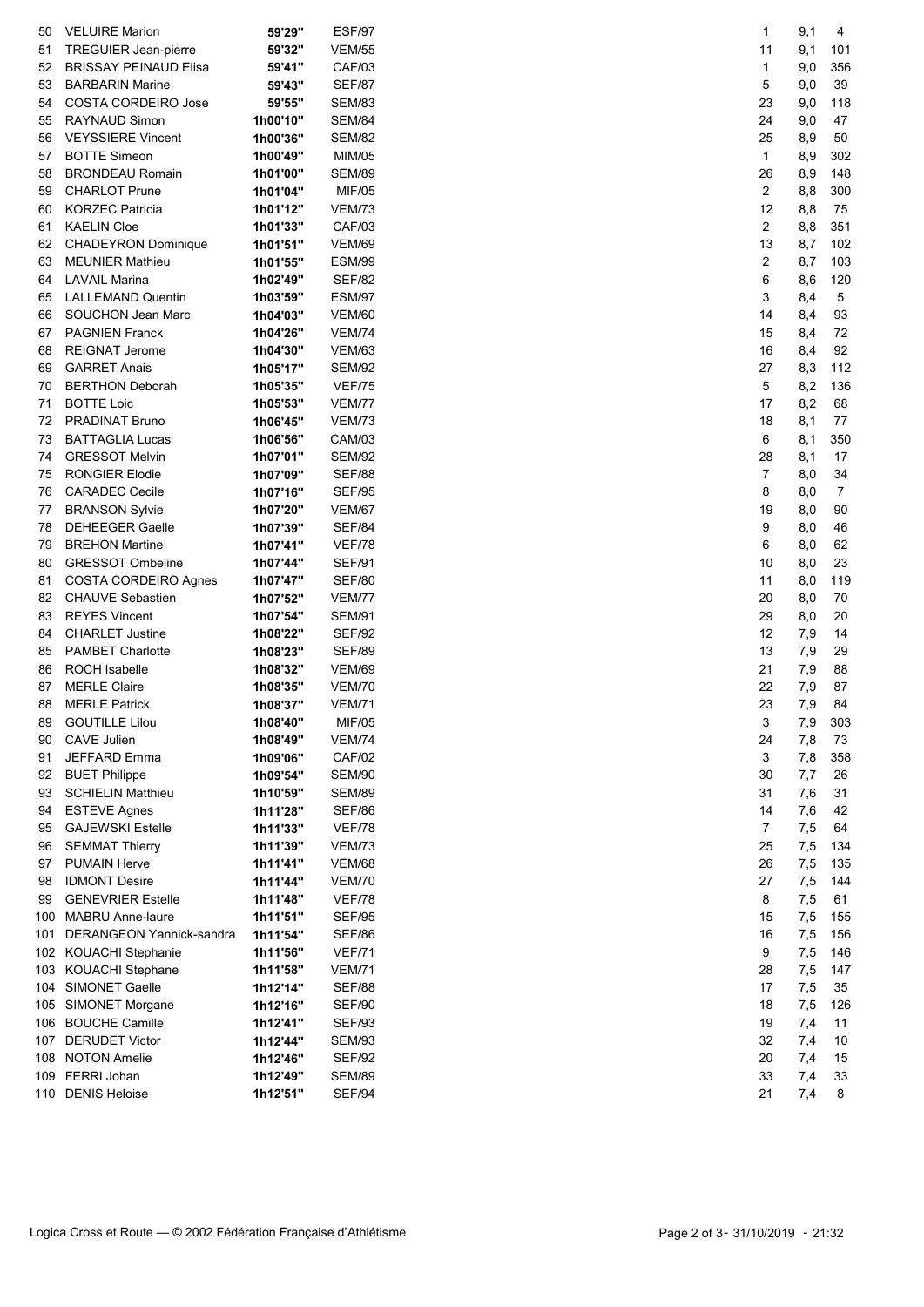| 50  | <b>VELUIRE Marion</b>           | 59'29"   | <b>ESF/97</b> |
|-----|---------------------------------|----------|---------------|
| 51  | TREGUIER Jean-pierre            | 59'32"   | <b>VEM/55</b> |
| 52  | <b>BRISSAY PEINAUD Elisa</b>    | 59'41"   | <b>CAF/03</b> |
| 53  | <b>BARBARIN Marine</b>          | 59'43"   | <b>SEF/87</b> |
| 54  | <b>COSTA CORDEIRO Jose</b>      | 59'55"   | <b>SEM/83</b> |
| 55  | <b>RAYNAUD Simon</b>            | 1h00'10" | <b>SEM/84</b> |
| 56  | <b>VEYSSIERE Vincent</b>        | 1h00'36" | <b>SEM/82</b> |
| 57  | <b>BOTTE Simeon</b>             | 1h00'49" | MIM/05        |
| 58  | <b>BRONDEAU Romain</b>          | 1h01'00" | <b>SEM/89</b> |
| 59  | <b>CHARLOT Prune</b>            | 1h01'04" | <b>MIF/05</b> |
| 60  | <b>KORZEC Patricia</b>          | 1h01'12" | <b>VEM/73</b> |
| 61  | <b>KAELIN Cloe</b>              | 1h01'33" | CAF/03        |
| 62  | <b>CHADEYRON Dominique</b>      | 1h01'51" | <b>VEM/69</b> |
| 63  | <b>MEUNIER Mathieu</b>          | 1h01'55" | <b>ESM/99</b> |
| 64  | <b>LAVAIL Marina</b>            | 1h02'49" | <b>SEF/82</b> |
| 65  | <b>LALLEMAND Quentin</b>        | 1h03'59" | <b>ESM/97</b> |
| 66  | SOUCHON Jean Marc               | 1h04'03" | <b>VEM/60</b> |
| 67  | <b>PAGNIEN Franck</b>           | 1h04'26" | <b>VEM/74</b> |
| 68  | <b>REIGNAT Jerome</b>           |          | <b>VEM/63</b> |
| 69  | <b>GARRET Anais</b>             | 1h04'30" |               |
|     | <b>BERTHON Deborah</b>          | 1h05'17" | <b>SEM/92</b> |
| 70  |                                 | 1h05'35" | <b>VEF/75</b> |
| 71  | <b>BOTTE Loic</b>               | 1h05'53" | <b>VEM/77</b> |
| 72  | <b>PRADINAT Bruno</b>           | 1h06'45" | <b>VEM/73</b> |
| 73  | <b>BATTAGLIA Lucas</b>          | 1h06'56" | CAM/03        |
| 74  | <b>GRESSOT Melvin</b>           | 1h07'01" | <b>SEM/92</b> |
| 75  | <b>RONGIER Elodie</b>           | 1h07'09" | <b>SEF/88</b> |
| 76  | <b>CARADEC Cecile</b>           | 1h07'16" | <b>SEF/95</b> |
| 77  | <b>BRANSON Sylvie</b>           | 1h07'20" | <b>VEM/67</b> |
| 78  | <b>DEHEEGER Gaelle</b>          | 1h07'39" | <b>SEF/84</b> |
| 79  | <b>BREHON Martine</b>           | 1h07'41" | <b>VEF/78</b> |
| 80  | <b>GRESSOT Ombeline</b>         | 1h07'44" | <b>SEF/91</b> |
| 81  | <b>COSTA CORDEIRO Agnes</b>     | 1h07'47" | <b>SEF/80</b> |
| 82  | <b>CHAUVE Sebastien</b>         | 1h07'52" | <b>VEM/77</b> |
| 83  | <b>REYES Vincent</b>            | 1h07'54" | <b>SEM/91</b> |
| 84  | <b>CHARLET Justine</b>          | 1h08'22" | <b>SEF/92</b> |
| 85  | <b>PAMBET Charlotte</b>         | 1h08'23" | <b>SEF/89</b> |
| 86  | <b>ROCH Isabelle</b>            | 1h08'32" | <b>VEM/69</b> |
| 87  | <b>MERLE Claire</b>             | 1h08'35" | <b>VEM/70</b> |
| 88  | <b>MERLE Patrick</b>            | 1h08'37" | <b>VEM/71</b> |
| 89  | <b>GOUTILLE Lilou</b>           | 1h08'40" | MIF/05        |
| 90  | <b>CAVE Julien</b>              | 1h08'49" | <b>VEM/74</b> |
| 91  | <b>JEFFARD Emma</b>             | 1h09'06" | <b>CAF/02</b> |
| 92  | <b>BUET Philippe</b>            | 1h09'54" | <b>SEM/90</b> |
| 93  | <b>SCHIELIN Matthieu</b>        | 1h10'59" | <b>SEM/89</b> |
| 94  | <b>ESTEVE Agnes</b>             | 1h11'28" | <b>SEF/86</b> |
| 95  | <b>GAJEWSKI Estelle</b>         | 1h11'33" | <b>VEF/78</b> |
| 96  | <b>SEMMAT Thierry</b>           | 1h11'39" | <b>VEM/73</b> |
| 97  | <b>PUMAIN Herve</b>             | 1h11'41" | <b>VEM/68</b> |
| 98  | <b>IDMONT Desire</b>            | 1h11'44" | <b>VEM/70</b> |
| 99  | <b>GENEVRIER Estelle</b>        | 1h11'48" | <b>VEF/78</b> |
| 100 | <b>MABRU Anne-laure</b>         | 1h11'51" | <b>SEF/95</b> |
| 101 | <b>DERANGEON Yannick-sandra</b> | 1h11'54" | SEF/86        |
| 102 | KOUACHI Stephanie               | 1h11'56" | <b>VEF/71</b> |
| 103 | KOUACHI Stephane                | 1h11'58" | <b>VEM/71</b> |
| 104 | <b>SIMONET Gaelle</b>           | 1h12'14" | <b>SEF/88</b> |
| 105 | SIMONET Morgane                 | 1h12'16" | <b>SEF/90</b> |
| 106 | <b>BOUCHE Camille</b>           | 1h12'41" | <b>SEF/93</b> |
| 107 | <b>DERUDET Victor</b>           | 1h12'44" | <b>SEM/93</b> |
| 108 | <b>NOTON Amelie</b>             | 1h12'46" | <b>SEF/92</b> |
| 109 | <b>FERRI Johan</b>              | 1h12'49" | <b>SEM/89</b> |
| 110 | <b>DENIS Heloise</b>            | 1h12'51" | <b>SEF/94</b> |

| 1                    | 9,1             | 4              |
|----------------------|-----------------|----------------|
| 11                   | 9,1             | 101            |
| 1                    | 9,0             | 356            |
| 5<br>23              | 9,0<br>9,0      | 39<br>118      |
| 24                   | 9,0             | 47             |
| 25                   | 8,9             | 50             |
| 1                    | 8,9             | 302            |
| 26                   | 8,9             | 148            |
| $\overline{c}$       | 8,8             | 300            |
| 12<br>$\overline{2}$ | 8,8<br>8,8      | 75<br>351      |
| 13                   | 8,7             | 102            |
| 2                    | 8,7             | 103            |
| 6                    | 8,6             | 120            |
| 3                    | 8,4             | 5              |
| 14<br>15             | 8,4<br>8,4      | 93<br>72       |
| 16                   | 8,4             | 92             |
| 27                   | 8,3             | 112            |
| 5                    | 8,2             | 136            |
| 17                   | 8,2             | 68             |
| 18                   | 8,1             | 77             |
| 6                    | 8,1             | 350            |
| 28<br>7              | 8,1<br>$_{8,0}$ | 17<br>34       |
| 8                    | 8,0             | $\overline{7}$ |
| 19                   | 8,0             | 90             |
| 9                    | 8,0             | 46             |
| 6                    | 8,0             | 62             |
| 10                   | 8,0             | 23             |
| 11<br>20             | 8,0<br>8,0      | 119<br>70      |
| 29                   | 8,0             | 20             |
| 12                   | 7,9             | 14             |
| 13                   | 7,9             | 29             |
| 21                   | 7,9             | 88             |
| 22<br>23             | 7,9<br>7,9      | 87<br>84       |
| 3                    | 7,9             | 303            |
| 24                   | 7,8             | 73             |
| 3                    | 7,8             | 358            |
| 30                   | 7,7             | 26             |
| 31                   | 7,6             | 31             |
| 14<br>7              | 7,6<br>7,5      | 42<br>64       |
| 25                   | 7,5             | 134            |
| 26                   | 7,5             | 135            |
| 27                   | 7,5             | 144            |
| 8                    | 7,5             | 61             |
| 15                   | 7,5             | 155            |
| 16<br>9              | 7,5<br>7,5      | 156<br>146     |
| 28                   | 7,5             | 147            |
| 17                   | 7,5             | 35             |
| 18                   | 7,5             | 126            |
| 19                   | 7,4             | 11             |
| 32<br>20             | 7,4<br>7,4      | 10<br>15       |
| 33                   | 7,4             | 33             |
| 21                   | 7,4             | 8              |
|                      |                 |                |